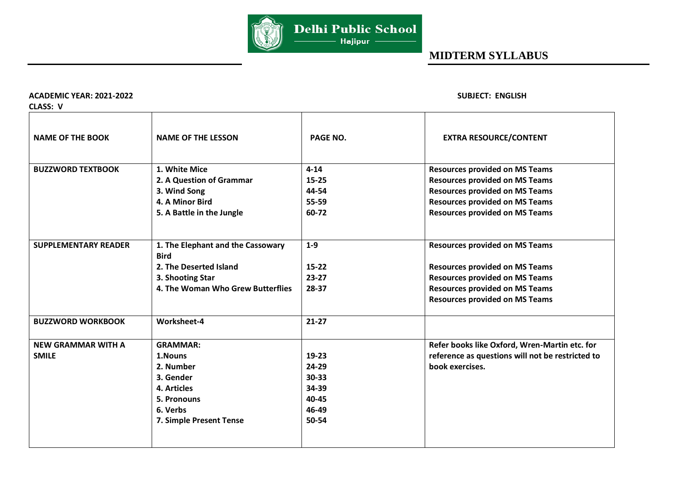

### **ACADEMIC YEAR: 2021-2022 SUBJECT: ENGLISH**

**CLASS: V** 

| CLASS: V                                  |                                                                                                                           |                                                                     |                                                                                                                      |
|-------------------------------------------|---------------------------------------------------------------------------------------------------------------------------|---------------------------------------------------------------------|----------------------------------------------------------------------------------------------------------------------|
| <b>NAME OF THE BOOK</b>                   | <b>NAME OF THE LESSON</b>                                                                                                 | PAGE NO.                                                            | <b>EXTRA RESOURCE/CONTENT</b>                                                                                        |
| <b>BUZZWORD TEXTBOOK</b>                  | 1. White Mice<br>2. A Question of Grammar                                                                                 | $4 - 14$<br>$15 - 25$                                               | <b>Resources provided on MS Teams</b><br><b>Resources provided on MS Teams</b>                                       |
|                                           | 3. Wind Song<br>4. A Minor Bird                                                                                           | 44-54<br>55-59                                                      | <b>Resources provided on MS Teams</b><br><b>Resources provided on MS Teams</b>                                       |
|                                           | 5. A Battle in the Jungle                                                                                                 | 60-72                                                               | <b>Resources provided on MS Teams</b>                                                                                |
| <b>SUPPLEMENTARY READER</b>               | 1. The Elephant and the Cassowary<br><b>Bird</b>                                                                          | $1-9$                                                               | <b>Resources provided on MS Teams</b>                                                                                |
|                                           | 2. The Deserted Island                                                                                                    | $15 - 22$                                                           | <b>Resources provided on MS Teams</b>                                                                                |
|                                           | 3. Shooting Star                                                                                                          | $23 - 27$                                                           | <b>Resources provided on MS Teams</b>                                                                                |
|                                           | 4. The Woman Who Grew Butterflies                                                                                         | 28-37                                                               | <b>Resources provided on MS Teams</b><br><b>Resources provided on MS Teams</b>                                       |
| <b>BUZZWORD WORKBOOK</b>                  | Worksheet-4                                                                                                               | $21-27$                                                             |                                                                                                                      |
| <b>NEW GRAMMAR WITH A</b><br><b>SMILE</b> | <b>GRAMMAR:</b><br>1.Nouns<br>2. Number<br>3. Gender<br>4. Articles<br>5. Pronouns<br>6. Verbs<br>7. Simple Present Tense | $19 - 23$<br>24-29<br>$30 - 33$<br>34-39<br>40-45<br>46-49<br>50-54 | Refer books like Oxford, Wren-Martin etc. for<br>reference as questions will not be restricted to<br>book exercises. |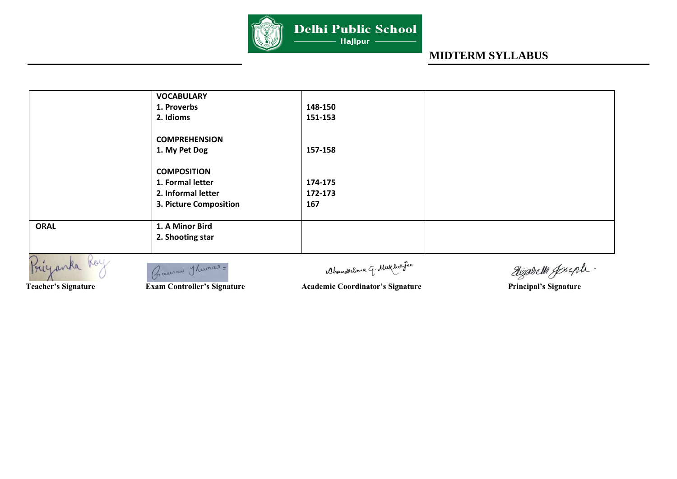

| 1. Proverbs            | 148-150            |  |
|------------------------|--------------------|--|
|                        |                    |  |
| 2. Idioms              | 151-153            |  |
| <b>COMPREHENSION</b>   |                    |  |
| 1. My Pet Dog          | 157-158            |  |
|                        |                    |  |
| 1. Formal letter       | 174-175            |  |
| 2. Informal letter     | 172-173            |  |
| 3. Picture Composition | 167                |  |
| 1. A Minor Bird        |                    |  |
| 2. Shooting star       |                    |  |
|                        | <b>COMPOSITION</b> |  |

Buyanka

Gracion Thuman =

Ahanderema G. Mukhar fee

Dizabella Joseph.

**Teacher's Signature <b>Exam Controller's Signature** Academic Coordinator's Signature Principal's Signature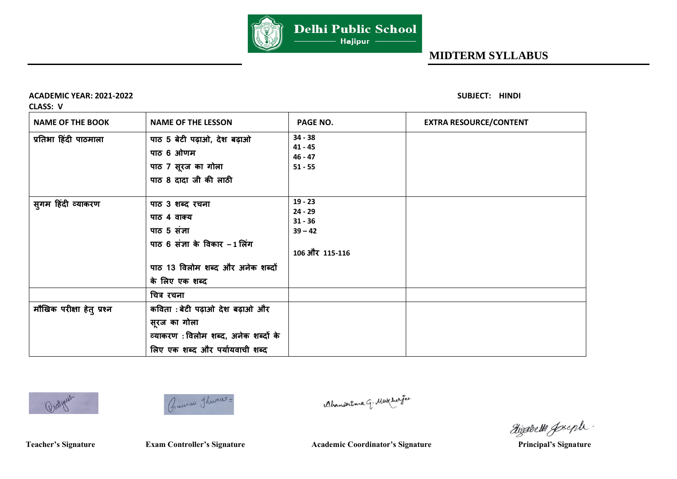

**ACADEMIC YEAR: 2021-2022 SUBJECT: HINDI** 

**CLASS: V** 

| <b>NAME OF THE BOOK</b>   | <b>NAME OF THE LESSON</b>                                                                                                             | PAGE NO.                                                           | <b>EXTRA RESOURCE/CONTENT</b> |
|---------------------------|---------------------------------------------------------------------------------------------------------------------------------------|--------------------------------------------------------------------|-------------------------------|
| प्रतिभा हिंदी पाठमाला     | पाठ 5 बेटी पढ़ाओ, देश बढ़ाओ<br>पाठ 6 ओणम<br>पाठ 7 सूरज का गोला<br>पाठ 8 दादा जी की लाठी                                               | $34 - 38$<br>$41 - 45$<br>$46 - 47$<br>$51 - 55$                   |                               |
| सुगम हिंदी व्याकरण        | पाठ 3 शब्द रचना<br>पाठ 4 वाक्य<br>पाठ 5 संज्ञा<br>पाठ 6 संज्ञा के विकार -1 लिंग<br>पाठ 13 विलोम शब्द और अनेक शब्दों<br>के लिए एक शब्द | $19 - 23$<br>$24 - 29$<br>$31 - 36$<br>$39 - 42$<br>106 और 115-116 |                               |
|                           | चित्र रचना                                                                                                                            |                                                                    |                               |
| मौखिक परीक्षा हेत् प्रश्न | कविता: बेटी पढ़ाओ देश बढ़ाओ और<br>सूरज का गोला<br>व्याकरण: विलोम शब्द, अनेक शब्दों के<br>लिए एक शब्द और पर्यायवाची शब्द               |                                                                    |                               |





Ahanderema q. Mukhar fee

dizabelli greph.

**Teacher's Signature** 

**Team Controller's Signature Academic Coordinator's Signature Principal's Signature**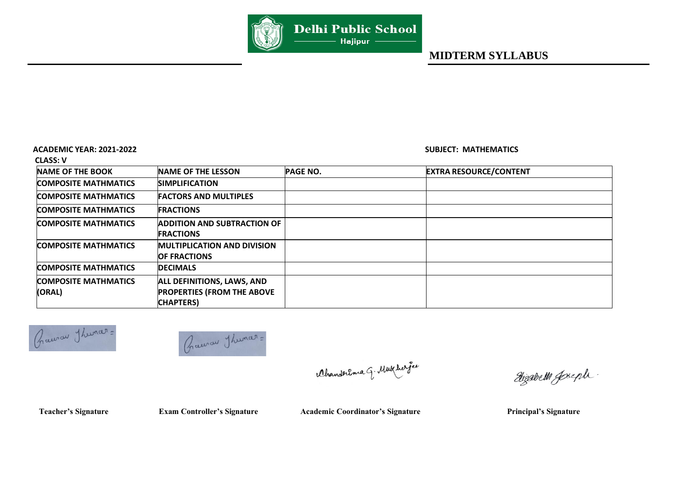

### **ACADEMIC YEAR: 2021-2022 SUBJECT: MATHEMATICS**

 **CLASS: V** 

| <b>NAME OF THE BOOK</b>               | <b>NAME OF THE LESSON</b>                                                                   | <b>PAGE NO.</b> | <b>EXTRA RESOURCE/CONTENT</b> |
|---------------------------------------|---------------------------------------------------------------------------------------------|-----------------|-------------------------------|
| <b>COMPOSITE MATHMATICS</b>           | <b>SIMPLIFICATION</b>                                                                       |                 |                               |
| <b>COMPOSITE MATHMATICS</b>           | <b>FACTORS AND MULTIPLES</b>                                                                |                 |                               |
| <b>COMPOSITE MATHMATICS</b>           | <b>FRACTIONS</b>                                                                            |                 |                               |
| <b>COMPOSITE MATHMATICS</b>           | <b>ADDITION AND SUBTRACTION OF</b><br><b>FRACTIONS</b>                                      |                 |                               |
| <b>COMPOSITE MATHMATICS</b>           | <b>MULTIPLICATION AND DIVISION</b><br><b>OF FRACTIONS</b>                                   |                 |                               |
| <b>COMPOSITE MATHMATICS</b>           | <b>DECIMALS</b>                                                                             |                 |                               |
| <b>COMPOSITE MATHMATICS</b><br>(ORAL) | <b>ALL DEFINITIONS, LAWS, AND</b><br><b>PROPERTIES (FROM THE ABOVE</b><br><b>CHAPTERS</b> ) |                 |                               |





Ahanderema G. Mukherfee

Wigabell Joseph.

Teacher's Signature **Exam Controller's Signature** Academic Coordinator's Signature Principal's Signature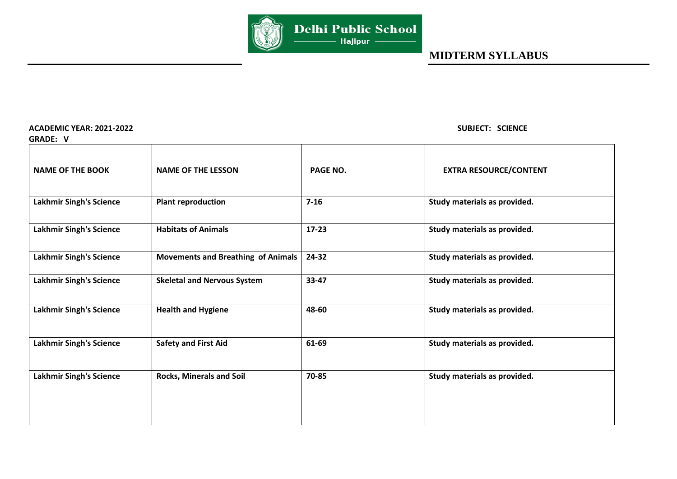

**ACADEMIC YEAR: 2021-2022 SUBJECT: SCIENCE** 

| <b>GRADE: V</b>                |                                           |           |                               |
|--------------------------------|-------------------------------------------|-----------|-------------------------------|
| <b>NAME OF THE BOOK</b>        | <b>NAME OF THE LESSON</b>                 | PAGE NO.  | <b>EXTRA RESOURCE/CONTENT</b> |
| <b>Lakhmir Singh's Science</b> | <b>Plant reproduction</b>                 | $7 - 16$  | Study materials as provided.  |
| <b>Lakhmir Singh's Science</b> | <b>Habitats of Animals</b>                | $17 - 23$ | Study materials as provided.  |
| <b>Lakhmir Singh's Science</b> | <b>Movements and Breathing of Animals</b> | 24-32     | Study materials as provided.  |
| <b>Lakhmir Singh's Science</b> | <b>Skeletal and Nervous System</b>        | 33-47     | Study materials as provided.  |
| <b>Lakhmir Singh's Science</b> | <b>Health and Hygiene</b>                 | 48-60     | Study materials as provided.  |
| <b>Lakhmir Singh's Science</b> | <b>Safety and First Aid</b>               | 61-69     | Study materials as provided.  |
| <b>Lakhmir Singh's Science</b> | <b>Rocks, Minerals and Soil</b>           | 70-85     | Study materials as provided.  |
|                                |                                           |           |                               |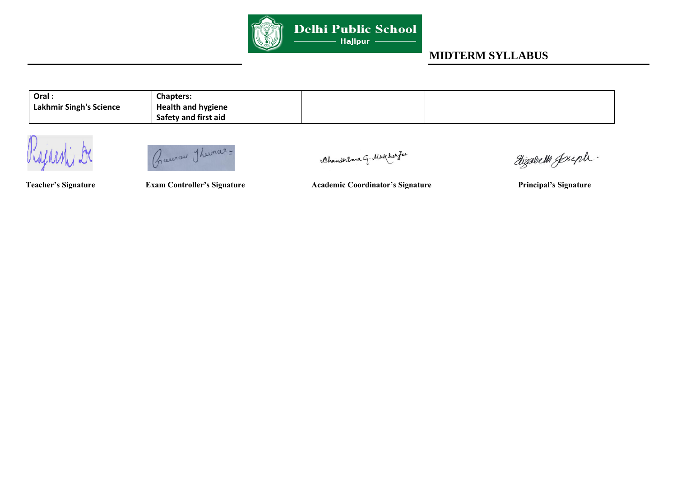

| Oral.                   | <b>Chapters:</b>          |  |
|-------------------------|---------------------------|--|
| Lakhmir Singh's Science | <b>Health and hygiene</b> |  |
|                         | Safety and first aid      |  |



Ahanderema G. Mukher fee

Wijsdell Joseph.

Teacher's Signature **Exam Controller's Signature** Academic Coordinator's Signature Principal's Signature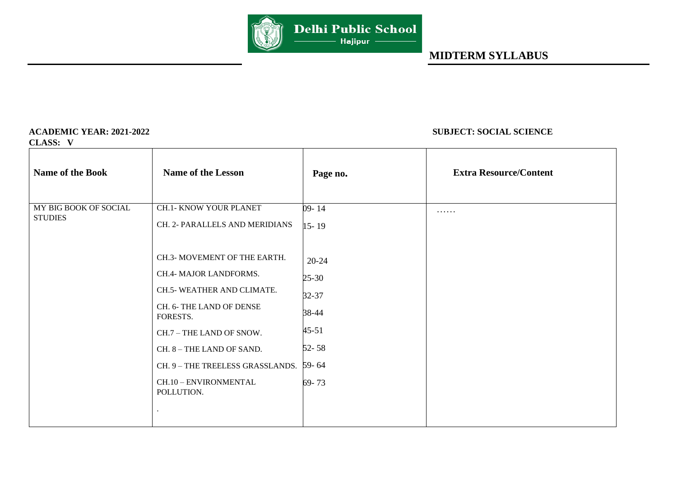

**CLASS: V** 

### **ACADEMIC YEAR: 2021-2022 SUBJECT: SOCIAL SCIENCE**

| <b>Name of the Book</b> | <b>Name of the Lesson</b>              | Page no.  | <b>Extra Resource/Content</b> |
|-------------------------|----------------------------------------|-----------|-------------------------------|
| MY BIG BOOK OF SOCIAL   | CH.1- KNOW YOUR PLANET                 | 09-14     | .                             |
| <b>STUDIES</b>          | CH. 2- PARALLELS AND MERIDIANS         | $15 - 19$ |                               |
|                         | CH.3- MOVEMENT OF THE EARTH.           | 20-24     |                               |
|                         | CH.4- MAJOR LANDFORMS.                 | $25 - 30$ |                               |
|                         | CH.5- WEATHER AND CLIMATE.             | 32-37     |                               |
|                         | CH. 6- THE LAND OF DENSE<br>FORESTS.   | 38-44     |                               |
|                         | CH.7 - THE LAND OF SNOW.               | $45 - 51$ |                               |
|                         | CH. 8 - THE LAND OF SAND.              | $52 - 58$ |                               |
|                         | CH. 9 - THE TREELESS GRASSLANDS. 59-64 |           |                               |
|                         | CH.10 - ENVIRONMENTAL<br>POLLUTION.    | 69-73     |                               |
|                         |                                        |           |                               |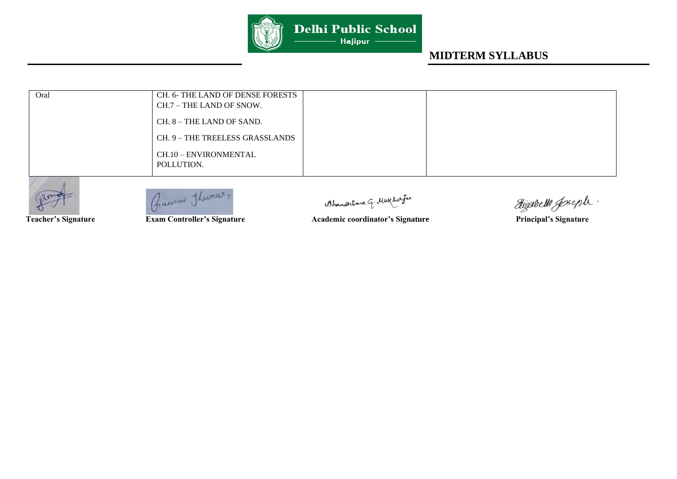

| Oral | CH. 6- THE LAND OF DENSE FORESTS<br>CH.7 – THE LAND OF SNOW. |  |
|------|--------------------------------------------------------------|--|
|      | $CH. 8 - THE LAND OF SAND.$                                  |  |
|      | CH. 9 – THE TREELESS GRASSLANDS                              |  |
|      | CH.10 - ENVIRONMENTAL<br>POLLUTION.                          |  |



Praerau Thumar=

Ahanderema q. Mukharfee

**Team Controller's Signature Academic coordinator's Signature Principal's Signature** 

Hizabella Joseph.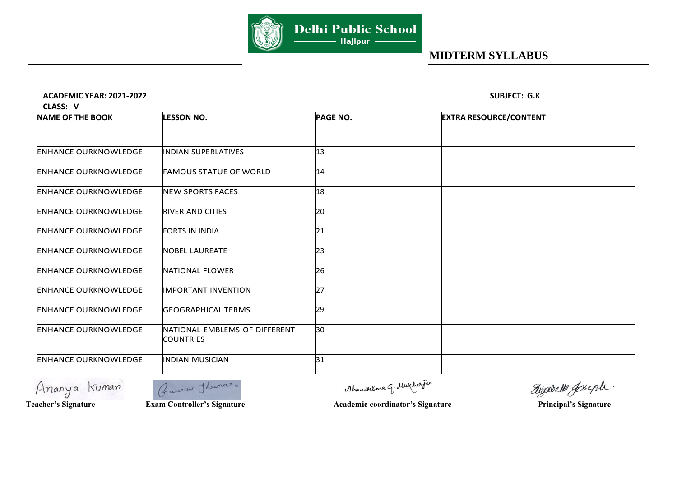

### **ACADEMIC YEAR: 2021-2022 SUBJECT: G.K**

 **CLASS: V** 

| <b>NAME OF THE BOOK</b>     | <b>LESSON NO.</b>                                 | <b>PAGE NO.</b> | <b>EXTRA RESOURCE/CONTENT</b> |
|-----------------------------|---------------------------------------------------|-----------------|-------------------------------|
|                             |                                                   |                 |                               |
| <b>ENHANCE OURKNOWLEDGE</b> | <b>INDIAN SUPERLATIVES</b>                        | 13              |                               |
| <b>ENHANCE OURKNOWLEDGE</b> | <b>FAMOUS STATUE OF WORLD</b>                     | 14              |                               |
| <b>ENHANCE OURKNOWLEDGE</b> | <b>NEW SPORTS FACES</b>                           | 18              |                               |
| <b>ENHANCE OURKNOWLEDGE</b> | <b>RIVER AND CITIES</b>                           | 20              |                               |
| <b>ENHANCE OURKNOWLEDGE</b> | <b>FORTS IN INDIA</b>                             | 21              |                               |
| <b>ENHANCE OURKNOWLEDGE</b> | <b>NOBEL LAUREATE</b>                             | 23              |                               |
| <b>ENHANCE OURKNOWLEDGE</b> | NATIONAL FLOWER                                   | 26              |                               |
| <b>ENHANCE OURKNOWLEDGE</b> | <b>IMPORTANT INVENTION</b>                        | 27              |                               |
| <b>ENHANCE OURKNOWLEDGE</b> | <b>GEOGRAPHICAL TERMS</b>                         | 29              |                               |
| <b>ENHANCE OURKNOWLEDGE</b> | NATIONAL EMBLEMS OF DIFFERENT<br><b>COUNTRIES</b> | 30              |                               |
| <b>ENHANCE OURKNOWLEDGE</b> | <b>INDIAN MUSICIAN</b>                            | 31              |                               |





Ahanderema G. Mukhar fee

**Teacher's Signature** 

**Team Controller's Signature Academic coordinator's Signature Principal's Signature** 

dizabelli gseph.